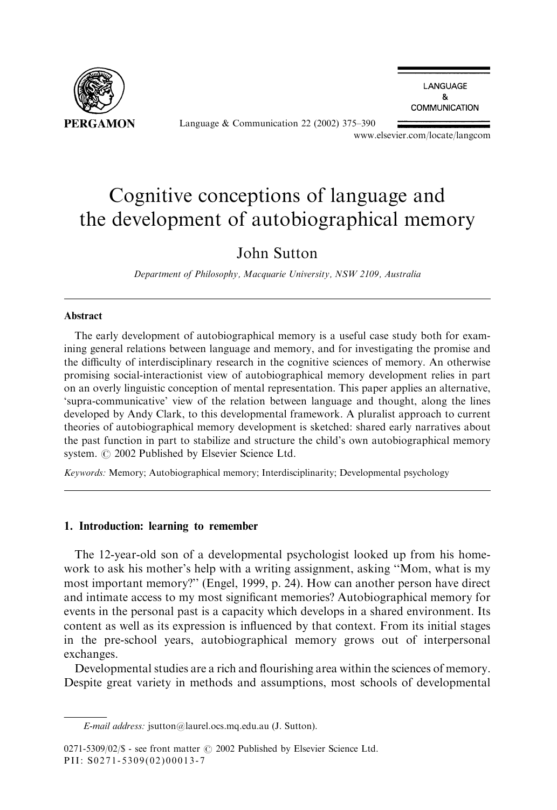

Language & Communication 22 (2002) 375–390

LANGUAGE 8 **COMMUNICATION** 

www.elsevier.com/locate/langcom

## Cognitive conceptions of language and the development of autobiographical memory

### John Sutton

Department of Philosophy, Macquarie University, NSW 2109, Australia

#### Abstract

The early development of autobiographical memory is a useful case study both for examining general relations between language and memory, and for investigating the promise and the difficulty of interdisciplinary research in the cognitive sciences of memory. An otherwise promising social-interactionist view of autobiographical memory development relies in part on an overly linguistic conception of mental representation. This paper applies an alternative, 'supra-communicative' view of the relation between language and thought, along the lines developed by Andy Clark, to this developmental framework. A pluralist approach to current theories of autobiographical memory development is sketched: shared early narratives about the past function in part to stabilize and structure the child's own autobiographical memory system.  $\odot$  2002 Published by Elsevier Science Ltd.

Keywords: Memory; Autobiographical memory; Interdisciplinarity; Developmental psychology

#### 1. Introduction: learning to remember

The 12-year-old son of a developmental psychologist looked up from his homework to ask his mother's help with a writing assignment, asking ''Mom, what is my most important memory?'' (Engel, 1999, p. 24). How can another person have direct and intimate access to my most significant memories? Autobiographical memory for events in the personal past is a capacity which develops in a shared environment. Its content as well as its expression is influenced by that context. From its initial stages in the pre-school years, autobiographical memory grows out of interpersonal exchanges.

Developmental studies are a rich and flourishing area within the sciences of memory. Despite great variety in methods and assumptions, most schools of developmental

E-mail address: jsutton@laurel.ocs.mq.edu.au (J. Sutton).

<sup>0271-5309/02/\$ -</sup> see front matter  $\odot$  2002 Published by Elsevier Science Ltd. PII: S0271-5309(02)00013-7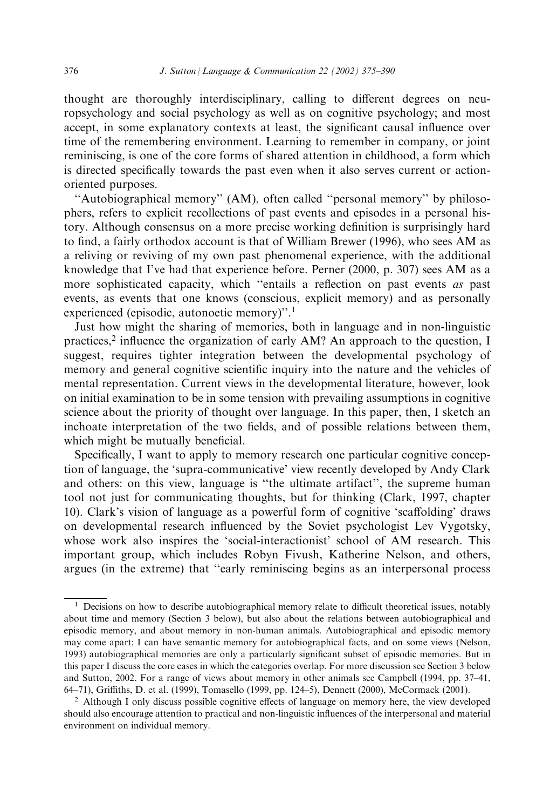thought are thoroughly interdisciplinary, calling to different degrees on neuropsychology and social psychology as well as on cognitive psychology; and most accept, in some explanatory contexts at least, the significant causal influence over time of the remembering environment. Learning to remember in company, or joint reminiscing, is one of the core forms of shared attention in childhood, a form which is directed specifically towards the past even when it also serves current or actionoriented purposes.

"Autobiographical memory" (AM), often called "personal memory" by philosophers, refers to explicit recollections of past events and episodes in a personal history. Although consensus on a more precise working definition is surprisingly hard to find, a fairly orthodox account is that of William Brewer (1996), who sees AM as a reliving or reviving of my own past phenomenal experience, with the additional knowledge that I've had that experience before. Perner (2000, p. 307) sees AM as a more sophisticated capacity, which "entails a reflection on past events as past events, as events that one knows (conscious, explicit memory) and as personally experienced (episodic, autonoetic memory)".<sup>1</sup>

Just how might the sharing of memories, both in language and in non-linguistic practices,<sup>2</sup> influence the organization of early  $AM$ ? An approach to the question, I suggest, requires tighter integration between the developmental psychology of memory and general cognitive scientific inquiry into the nature and the vehicles of mental representation. Current views in the developmental literature, however, look on initial examination to be in some tension with prevailing assumptions in cognitive science about the priority of thought over language. In this paper, then, I sketch an inchoate interpretation of the two fields, and of possible relations between them, which might be mutually beneficial.

Specifically, I want to apply to memory research one particular cognitive conception of language, the 'supra-communicative' view recently developed by Andy Clark and others: on this view, language is ''the ultimate artifact'', the supreme human tool not just for communicating thoughts, but for thinking (Clark, 1997, chapter 10). Clark's vision of language as a powerful form of cognitive 'scaffolding' draws on developmental research influenced by the Soviet psychologist Lev Vygotsky, whose work also inspires the 'social-interactionist' school of AM research. This important group, which includes Robyn Fivush, Katherine Nelson, and others, argues (in the extreme) that ''early reminiscing begins as an interpersonal process

 $<sup>1</sup>$  Decisions on how to describe autobiographical memory relate to difficult theoretical issues, notably</sup> about time and memory (Section 3 below), but also about the relations between autobiographical and episodic memory, and about memory in non-human animals. Autobiographical and episodic memory may come apart: I can have semantic memory for autobiographical facts, and on some views (Nelson, 1993) autobiographical memories are only a particularly significant subset of episodic memories. But in this paper I discuss the core cases in which the categories overlap. For more discussion see Section 3 below and Sutton, 2002. For a range of views about memory in other animals see Campbell (1994, pp. 37–41, 64–71), Griffiths, D. et al. (1999), Tomasello (1999, pp. 124–5), Dennett (2000), McCormack (2001).

 $2$  Although I only discuss possible cognitive effects of language on memory here, the view developed should also encourage attention to practical and non-linguistic influences of the interpersonal and material environment on individual memory.